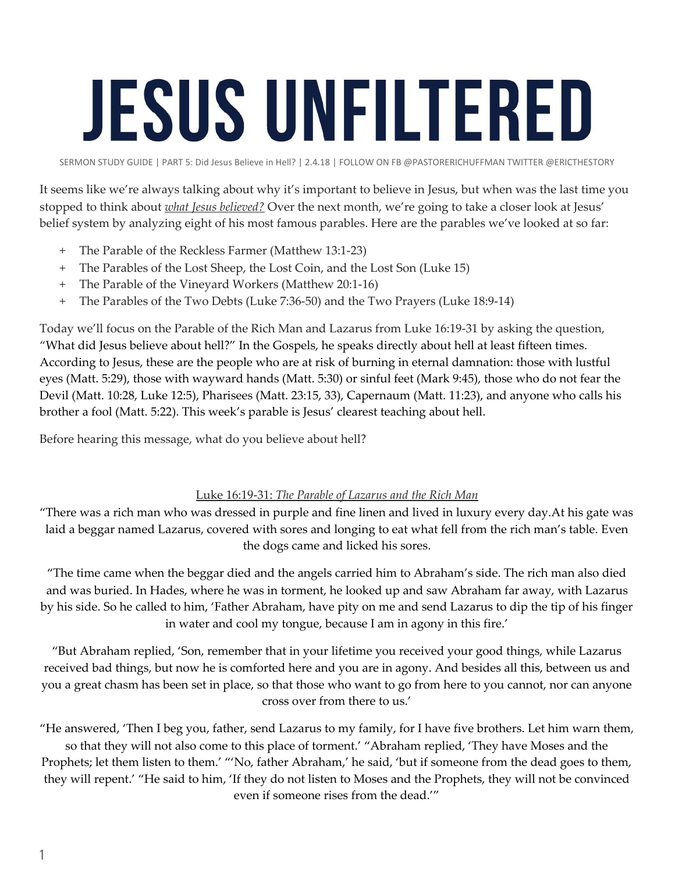## **JESUS UNFILTERED**

SERMON STUDY GUIDE | PART 5: Did Jesus Believe in Hell? | 2.4.18 | FOLLOW ON FB @PASTORERICHUFFMAN TWITTER @ERICTHESTORY

It seems like we're always talking about why it's important to believe in Jesus, but when was the last time you stopped to think about *what Jesus believed?* Over the next month, we're going to take a closer look at Jesus' belief system by analyzing eight of his most famous parables. Here are the parables we've looked at so far:

- + The Parable of the Reckless Farmer (Matthew 13:1-23)
- + The Parables of the Lost Sheep, the Lost Coin, and the Lost Son (Luke 15)
- + The Parable of the Vineyard Workers (Matthew 20:1-16)
- + The Parables of the Two Debts (Luke 7:36-50) and the Two Prayers (Luke 18:9-14)

Today we'll focus on the Parable of the Rich Man and Lazarus from Luke 16:19-31 by asking the question, "What did Jesus believe about hell?" In the Gospels, he speaks directly about hell at least fifteen times. According to Jesus, these are the people who are at risk of burning in eternal damnation: those with lustful eyes (Matt. 5:29), those with wayward hands (Matt. 5:30) or sinful feet (Mark 9:45), those who do not fear the Devil (Matt. 10:28, Luke 12:5), Pharisees (Matt. 23:15, 33), Capernaum (Matt. 11:23), and anyone who calls his brother a fool (Matt. 5:22). This week's parable is Jesus' clearest teaching about hell.

Before hearing this message, what do you believe about hell?

## Luke 16:19-31: *The Parable of Lazarus and the Rich Man*

"There was a rich man who was dressed in purple and fine linen and lived in luxury every day.At his gate was laid a beggar named Lazarus, covered with sores and longing to eat what fell from the rich man's table. Even the dogs came and licked his sores.

"The time came when the beggar died and the angels carried him to Abraham's side. The rich man also died and was buried. In Hades, where he was in torment, he looked up and saw Abraham far away, with Lazarus by his side. So he called to him, 'Father Abraham, have pity on me and send Lazarus to dip the tip of his finger in water and cool my tongue, because I am in agony in this fire.'

"But Abraham replied, 'Son, remember that in your lifetime you received your good things, while Lazarus received bad things, but now he is comforted here and you are in agony. And besides all this, between us and you a great chasm has been set in place, so that those who want to go from here to you cannot, nor can anyone cross over from there to us.'

"He answered, 'Then I beg you, father, send Lazarus to my family, for I have five brothers. Let him warn them, so that they will not also come to this place of torment.' "Abraham replied, 'They have Moses and the Prophets; let them listen to them.' "'No, father Abraham,' he said, 'but if someone from the dead goes to them, they will repent.' "He said to him, 'If they do not listen to Moses and the Prophets, they will not be convinced even if someone rises from the dead.'"